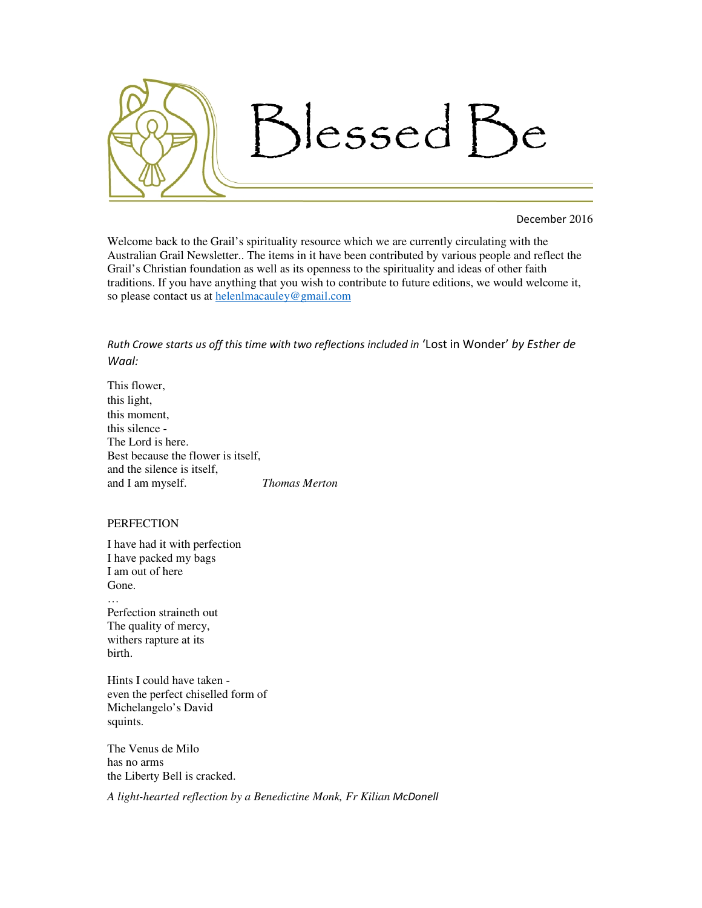

#### December 2016

Welcome back to the Grail's spirituality resource which we are currently circulating with the Australian Grail Newsletter.. The items in it have been contributed by various people and reflect the Grail's Christian foundation as well as its openness to the spirituality and ideas of other faith traditions. If you have anything that you wish to contribute to future editions, we would welcome it, so please contact us at helenlmacauley@gmail.com

*Ruth Crowe starts us off this time with two reflections included in* 'Lost in Wonder' *by Esther de Waal:* 

| This flower,                       |                      |
|------------------------------------|----------------------|
| this light,                        |                      |
| this moment,                       |                      |
| this silence -                     |                      |
| The Lord is here.                  |                      |
| Best because the flower is itself, |                      |
| and the silence is itself,         |                      |
| and I am myself.                   | <b>Thomas Merton</b> |
|                                    |                      |

# **PERFECTION**

…

I have had it with perfection I have packed my bags I am out of here Gone.

Perfection straineth out The quality of mercy, withers rapture at its birth.

Hints I could have taken even the perfect chiselled form of Michelangelo's David squints.

The Venus de Milo has no arms the Liberty Bell is cracked.

*A light-hearted reflection by a Benedictine Monk, Fr Kilian McDonell*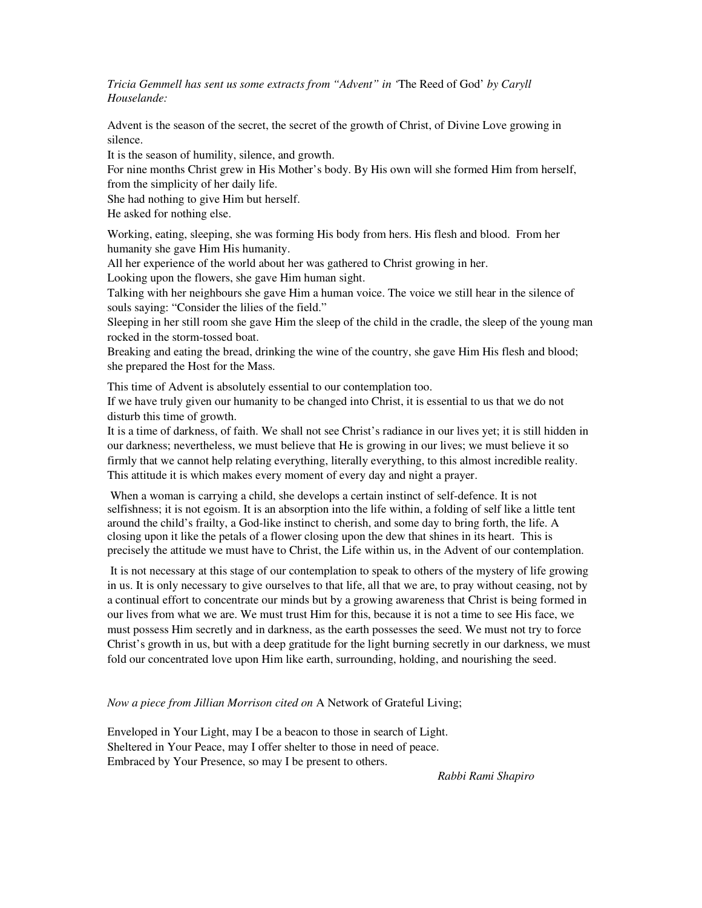*Tricia Gemmell has sent us some extracts from "Advent" in '*The Reed of God' *by Caryll Houselande:* 

Advent is the season of the secret, the secret of the growth of Christ, of Divine Love growing in silence.

It is the season of humility, silence, and growth.

For nine months Christ grew in His Mother's body. By His own will she formed Him from herself, from the simplicity of her daily life.

She had nothing to give Him but herself.

He asked for nothing else.

Working, eating, sleeping, she was forming His body from hers. His flesh and blood. From her humanity she gave Him His humanity.

All her experience of the world about her was gathered to Christ growing in her.

Looking upon the flowers, she gave Him human sight.

Talking with her neighbours she gave Him a human voice. The voice we still hear in the silence of souls saying: "Consider the lilies of the field."

Sleeping in her still room she gave Him the sleep of the child in the cradle, the sleep of the young man rocked in the storm-tossed boat.

Breaking and eating the bread, drinking the wine of the country, she gave Him His flesh and blood; she prepared the Host for the Mass.

This time of Advent is absolutely essential to our contemplation too.

If we have truly given our humanity to be changed into Christ, it is essential to us that we do not disturb this time of growth.

It is a time of darkness, of faith. We shall not see Christ's radiance in our lives yet; it is still hidden in our darkness; nevertheless, we must believe that He is growing in our lives; we must believe it so firmly that we cannot help relating everything, literally everything, to this almost incredible reality. This attitude it is which makes every moment of every day and night a prayer.

 When a woman is carrying a child, she develops a certain instinct of self-defence. It is not selfishness; it is not egoism. It is an absorption into the life within, a folding of self like a little tent around the child's frailty, a God-like instinct to cherish, and some day to bring forth, the life. A closing upon it like the petals of a flower closing upon the dew that shines in its heart. This is precisely the attitude we must have to Christ, the Life within us, in the Advent of our contemplation.

 It is not necessary at this stage of our contemplation to speak to others of the mystery of life growing in us. It is only necessary to give ourselves to that life, all that we are, to pray without ceasing, not by a continual effort to concentrate our minds but by a growing awareness that Christ is being formed in our lives from what we are. We must trust Him for this, because it is not a time to see His face, we must possess Him secretly and in darkness, as the earth possesses the seed. We must not try to force Christ's growth in us, but with a deep gratitude for the light burning secretly in our darkness, we must fold our concentrated love upon Him like earth, surrounding, holding, and nourishing the seed.

### *Now a piece from Jillian Morrison cited on* A Network of Grateful Living;

Enveloped in Your Light, may I be a beacon to those in search of Light. Sheltered in Your Peace, may I offer shelter to those in need of peace. Embraced by Your Presence, so may I be present to others.

*Rabbi Rami Shapiro*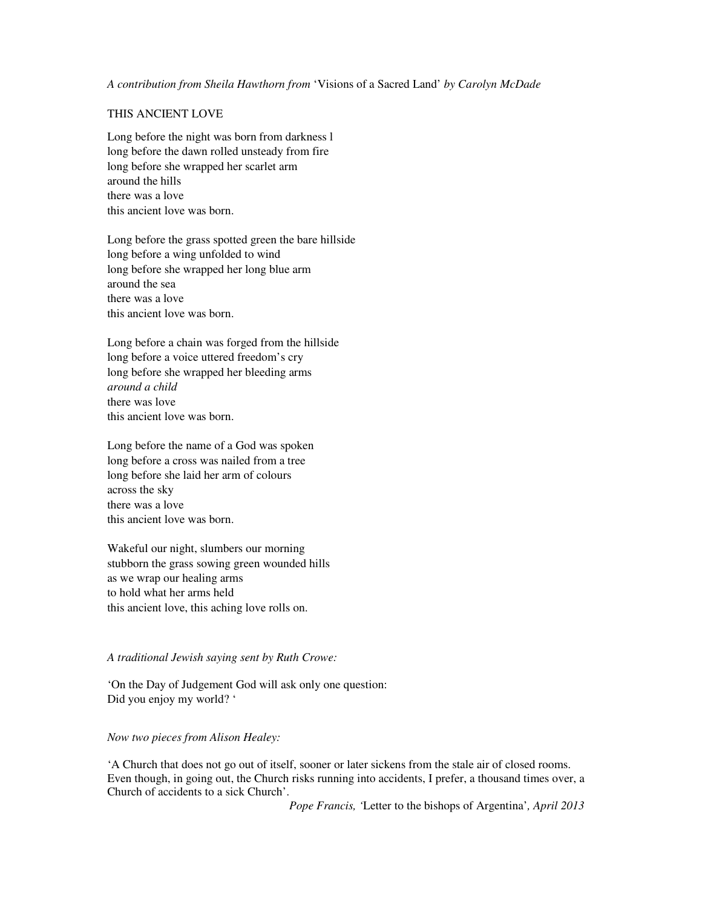# *A contribution from Sheila Hawthorn from* 'Visions of a Sacred Land' *by Carolyn McDade*

## THIS ANCIENT LOVE

Long before the night was born from darkness l long before the dawn rolled unsteady from fire long before she wrapped her scarlet arm around the hills there was a love this ancient love was born.

Long before the grass spotted green the bare hillside long before a wing unfolded to wind long before she wrapped her long blue arm around the sea there was a love this ancient love was born.

Long before a chain was forged from the hillside long before a voice uttered freedom's cry long before she wrapped her bleeding arms *around a child*  there was love this ancient love was born.

Long before the name of a God was spoken long before a cross was nailed from a tree long before she laid her arm of colours across the sky there was a love this ancient love was born.

Wakeful our night, slumbers our morning stubborn the grass sowing green wounded hills as we wrap our healing arms to hold what her arms held this ancient love, this aching love rolls on.

### *A traditional Jewish saying sent by Ruth Crowe:*

'On the Day of Judgement God will ask only one question: Did you enjoy my world? '

#### *Now two pieces from Alison Healey:*

'A Church that does not go out of itself, sooner or later sickens from the stale air of closed rooms. Even though, in going out, the Church risks running into accidents, I prefer, a thousand times over, a Church of accidents to a sick Church'.

 *Pope Francis, '*Letter to the bishops of Argentina'*, April 2013*